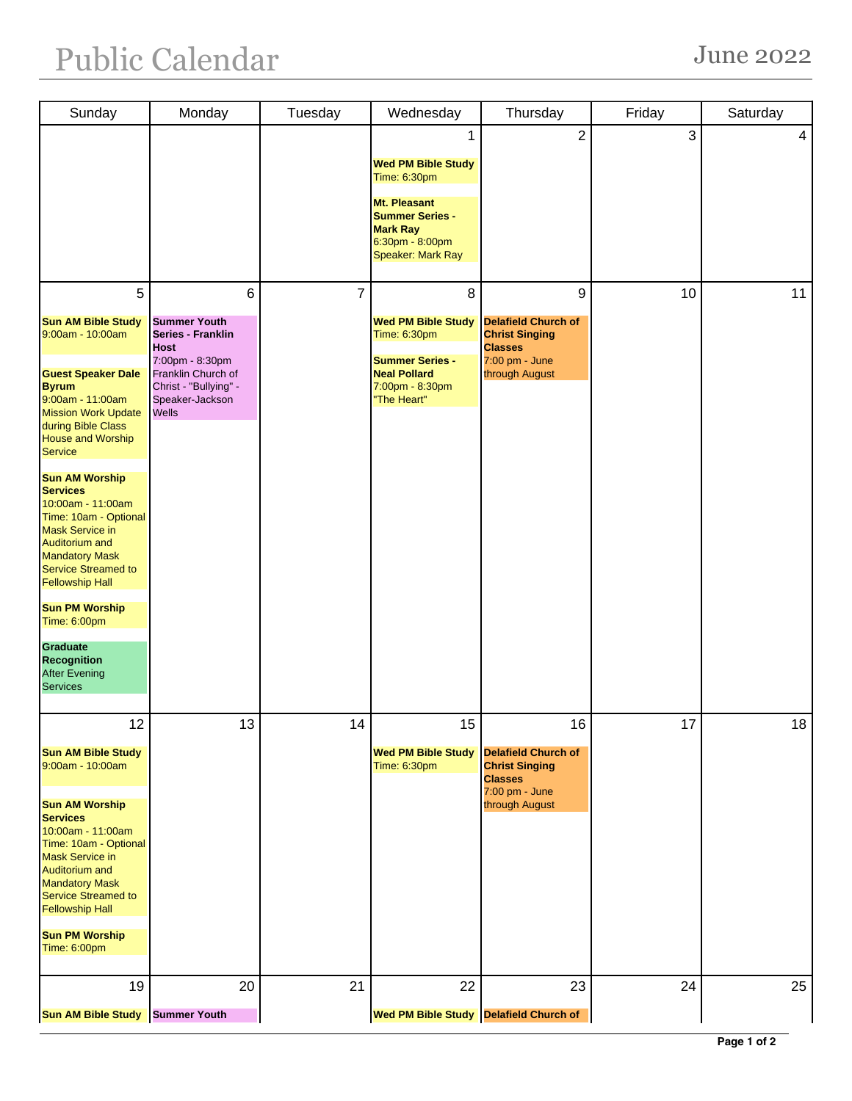## Public Calendar June 2022

| Sunday                                               | Monday                                  | Tuesday | Wednesday                                     | Thursday                                | Friday       | Saturday |
|------------------------------------------------------|-----------------------------------------|---------|-----------------------------------------------|-----------------------------------------|--------------|----------|
|                                                      |                                         |         | 1                                             | $\overline{2}$                          | $\mathbf{3}$ | 4        |
|                                                      |                                         |         | <b>Wed PM Bible Study</b>                     |                                         |              |          |
|                                                      |                                         |         | Time: 6:30pm                                  |                                         |              |          |
|                                                      |                                         |         | Mt. Pleasant<br><b>Summer Series -</b>        |                                         |              |          |
|                                                      |                                         |         | <b>Mark Ray</b>                               |                                         |              |          |
|                                                      |                                         |         | 6:30pm - 8:00pm<br>Speaker: Mark Ray          |                                         |              |          |
|                                                      |                                         |         |                                               |                                         |              |          |
| 5                                                    | 6                                       | 7       | 8                                             | 9                                       | 10           | 11       |
| <b>Sun AM Bible Study</b>                            | <b>Summer Youth</b>                     |         | <b>Wed PM Bible Study</b>                     | <b>Delafield Church of</b>              |              |          |
| 9:00am - 10:00am                                     | <b>Series - Franklin</b><br><b>Host</b> |         | <b>Time: 6:30pm</b>                           | <b>Christ Singing</b><br><b>Classes</b> |              |          |
| <b>Guest Speaker Dale</b>                            | 7:00pm - 8:30pm<br>Franklin Church of   |         | <b>Summer Series -</b><br><b>Neal Pollard</b> | 7:00 pm - June<br>through August        |              |          |
| <b>Byrum</b>                                         | Christ - "Bullying" -                   |         | 7:00pm - 8:30pm                               |                                         |              |          |
| 9:00am - 11:00am<br><b>Mission Work Update</b>       | Speaker-Jackson<br><b>Wells</b>         |         | "The Heart"                                   |                                         |              |          |
| during Bible Class<br><b>House and Worship</b>       |                                         |         |                                               |                                         |              |          |
| <b>Service</b>                                       |                                         |         |                                               |                                         |              |          |
| <b>Sun AM Worship</b>                                |                                         |         |                                               |                                         |              |          |
| <b>Services</b><br>10:00am - 11:00am                 |                                         |         |                                               |                                         |              |          |
| Time: 10am - Optional                                |                                         |         |                                               |                                         |              |          |
| <b>Mask Service in</b><br><b>Auditorium and</b>      |                                         |         |                                               |                                         |              |          |
| <b>Mandatory Mask</b>                                |                                         |         |                                               |                                         |              |          |
| <b>Service Streamed to</b><br><b>Fellowship Hall</b> |                                         |         |                                               |                                         |              |          |
| <b>Sun PM Worship</b>                                |                                         |         |                                               |                                         |              |          |
| Time: 6:00pm                                         |                                         |         |                                               |                                         |              |          |
| <b>Graduate</b>                                      |                                         |         |                                               |                                         |              |          |
| <b>Recognition</b><br><b>After Evening</b>           |                                         |         |                                               |                                         |              |          |
| <b>Services</b>                                      |                                         |         |                                               |                                         |              |          |
| 12                                                   | 13                                      | 14      | 15 <sub>1</sub>                               | 16                                      | 17           | 18       |
| <b>Sun AM Bible Study</b>                            |                                         |         | <b>Wed PM Bible Study</b>                     | <b>Delafield Church of</b>              |              |          |
| 9:00am - 10:00am                                     |                                         |         | <b>Time: 6:30pm</b>                           | <b>Christ Singing</b>                   |              |          |
|                                                      |                                         |         |                                               | <b>Classes</b><br>7:00 pm - June        |              |          |
| <b>Sun AM Worship</b><br><b>Services</b>             |                                         |         |                                               | through August                          |              |          |
| 10:00am - 11:00am                                    |                                         |         |                                               |                                         |              |          |
| Time: 10am - Optional<br><b>Mask Service in</b>      |                                         |         |                                               |                                         |              |          |
| Auditorium and                                       |                                         |         |                                               |                                         |              |          |
| <b>Mandatory Mask</b><br><b>Service Streamed to</b>  |                                         |         |                                               |                                         |              |          |
| <b>Fellowship Hall</b>                               |                                         |         |                                               |                                         |              |          |
| <b>Sun PM Worship</b>                                |                                         |         |                                               |                                         |              |          |
| <b>Time: 6:00pm</b>                                  |                                         |         |                                               |                                         |              |          |
| 19                                                   | 20                                      | 21      | 22                                            | 23                                      | 24           | 25       |
| <b>Sun AM Bible Study</b>                            | Summer Youth                            |         | Wed PM Bible Study   Delafield Church of      |                                         |              |          |
|                                                      |                                         |         |                                               |                                         |              |          |